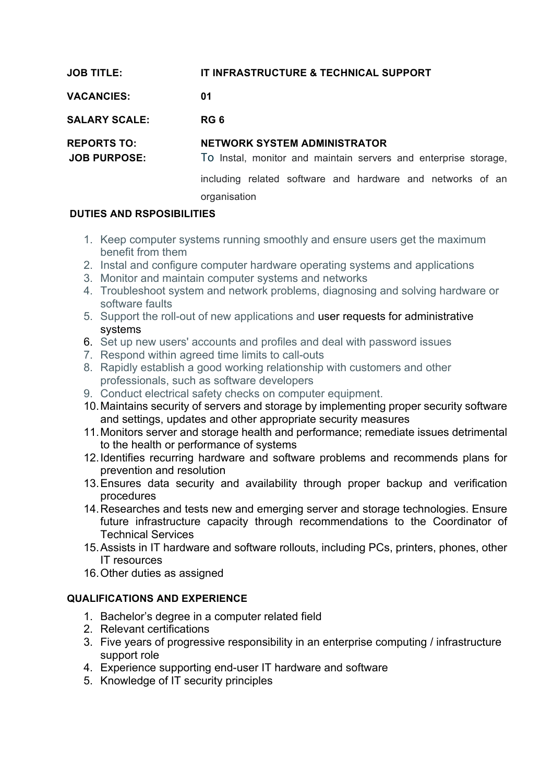| <b>JOB TITLE:</b>                         | IT INFRASTRUCTURE & TECHNICAL SUPPORT                                                                  |
|-------------------------------------------|--------------------------------------------------------------------------------------------------------|
| <b>VACANCIES:</b>                         | 01                                                                                                     |
| <b>SALARY SCALE:</b>                      | RG 6                                                                                                   |
|                                           |                                                                                                        |
| <b>REPORTS TO:</b><br><b>JOB PURPOSE:</b> | <b>NETWORK SYSTEM ADMINISTRATOR</b><br>To Instal, monitor and maintain servers and enterprise storage, |

## **DUTIES AND RSPOSIBILITIES**

- 1. Keep computer systems running smoothly and ensure users get the maximum benefit from them
- 2. Instal and configure computer hardware operating systems and applications
- 3. Monitor and maintain computer systems and networks
- 4. Troubleshoot system and network problems, diagnosing and solving hardware or software faults
- 5. Support the roll-out of new applications and user requests for administrative systems
- 6. Set up new users' accounts and profiles and deal with password issues
- 7. Respond within agreed time limits to call-outs
- 8. Rapidly establish a good working relationship with customers and other professionals, such as software developers
- 9. Conduct electrical safety checks on computer equipment.
- 10.Maintains security of servers and storage by implementing proper security software and settings, updates and other appropriate security measures
- 11.Monitors server and storage health and performance; remediate issues detrimental to the health or performance of systems
- 12.Identifies recurring hardware and software problems and recommends plans for prevention and resolution
- 13.Ensures data security and availability through proper backup and verification procedures
- 14.Researches and tests new and emerging server and storage technologies. Ensure future infrastructure capacity through recommendations to the Coordinator of Technical Services
- 15.Assists in IT hardware and software rollouts, including PCs, printers, phones, other IT resources
- 16.Other duties as assigned

## **QUALIFICATIONS AND EXPERIENCE**

- 1. Bachelor's degree in a computer related field
- 2. Relevant certifications
- 3. Five years of progressive responsibility in an enterprise computing / infrastructure support role
- 4. Experience supporting end-user IT hardware and software
- 5. Knowledge of IT security principles